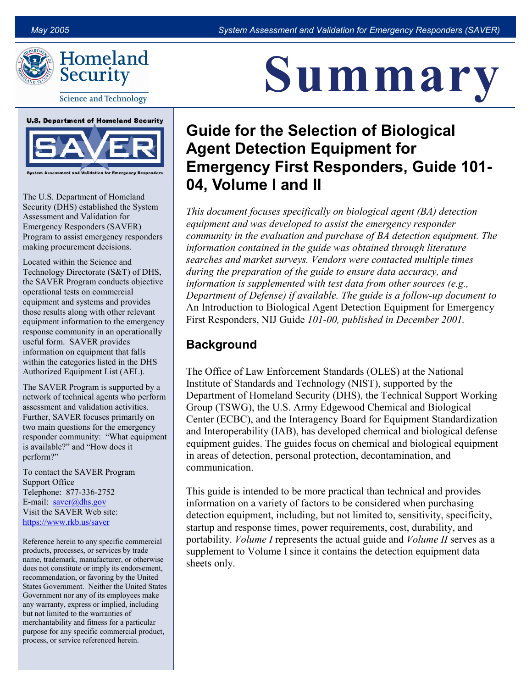

# Homeland Security

**Science and Technology** 



The U.S. Department of Homeland Security (DHS) established the System Assessment and Validation for Emergency Responders (SAVER) Program to assist emergency responders making procurement decisions.

Located within the Science and Technology Directorate (S&T) of DHS, the SAVER Program conducts objective operational tests on commercial equipment and systems and provides those results along with other relevant equipment information to the emergency response community in an operationally useful form. SAVER provides information on equipment that falls within the categories listed in the DHS Authorized Equipment List (AEL).

The SAVER Program is supported by a network of technical agents who perform assessment and validation activities. Further, SAVER focuses primarily on two main questions for the emergency responder community: "What equipment is available?" and "How does it perform?"

To contact the SAVER Program Support Office Telephone: 877-336-2752 E-mail:  $saver@dhs.gov$ Visit the SAVER Web site: <https://www.rkb.us/saver>

Reference herein to any specific commercial products, processes, or services by trade name, trademark, manufacturer, or otherwise does not constitute or imply its endorsement, recommendation, or favoring by the United States Government. Neither the United States Government nor any of its employees make any warranty, express or implied, including but not limited to the warranties of merchantability and fitness for a particular purpose for any specific commercial product, process, or service referenced herein.

# Summary

# Guide for the Selection of Biological Agent Detection Equipment for Emergency First Responders, Guide 101- 04, Volume I and II

This document focuses specifically on biological agent (BA) detection equipment and was developed to assist the emergency responder community in the evaluation and purchase of BA detection equipment. The information contained in the guide was obtained through literature searches and market surveys. Vendors were contacted multiple times during the preparation of the guide to ensure data accuracy, and information is supplemented with test data from other sources (e.g., Department of Defense) if available. The guide is a follow-up document to An Introduction to Biological Agent Detection Equipment for Emergency First Responders, NIJ Guide 101-00, published in December 2001.

### **Background**

The Office of Law Enforcement Standards (OLES) at the National Institute of Standards and Technology (NIST), supported by the Department of Homeland Security (DHS), the Technical Support Working Group (TSWG), the U.S. Army Edgewood Chemical and Biological Center (ECBC), and the Interagency Board for Equipment Standardization and Interoperability (IAB), has developed chemical and biological defense equipment guides. The guides focus on chemical and biological equipment in areas of detection, personal protection, decontamination, and communication.

This guide is intended to be more practical than technical and provides information on a variety of factors to be considered when purchasing detection equipment, including, but not limited to, sensitivity, specificity, startup and response times, power requirements, cost, durability, and portability. *Volume I* represents the actual guide and *Volume II* serves as a supplement to Volume I since it contains the detection equipment data sheets only.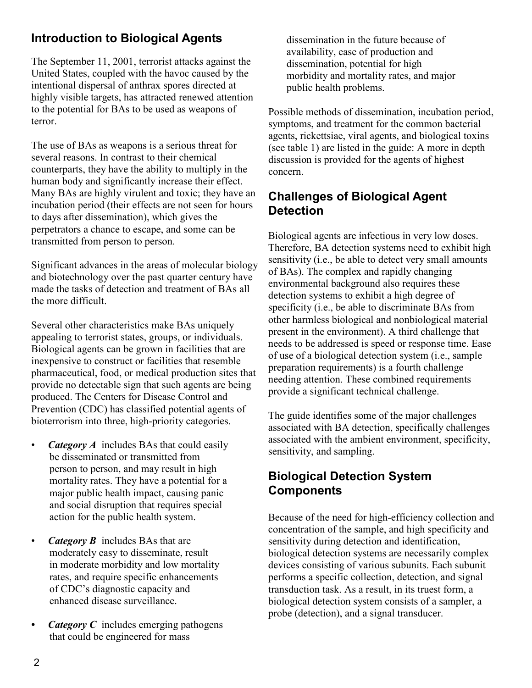## Introduction to Biological Agents

The September 11, 2001, terrorist attacks against the United States, coupled with the havoc caused by the intentional dispersal of anthrax spores directed at highly visible targets, has attracted renewed attention to the potential for BAs to be used as weapons of terror.

The use of BAs as weapons is a serious threat for several reasons. In contrast to their chemical counterparts, they have the ability to multiply in the human body and significantly increase their effect. Many BAs are highly virulent and toxic; they have an incubation period (their effects are not seen for hours to days after dissemination), which gives the perpetrators a chance to escape, and some can be transmitted from person to person.

Significant advances in the areas of molecular biology and biotechnology over the past quarter century have made the tasks of detection and treatment of BAs all the more difficult.

Several other characteristics make BAs uniquely appealing to terrorist states, groups, or individuals. Biological agents can be grown in facilities that are inexpensive to construct or facilities that resemble pharmaceutical, food, or medical production sites that provide no detectable sign that such agents are being produced. The Centers for Disease Control and Prevention (CDC) has classified potential agents of bioterrorism into three, high-priority categories.

- *Category A* includes BAs that could easily be disseminated or transmitted from person to person, and may result in high mortality rates. They have a potential for a major public health impact, causing panic and social disruption that requires special action for the public health system.
- *Category B* includes BAs that are moderately easy to disseminate, result in moderate morbidity and low mortality rates, and require specific enhancements of CDC's diagnostic capacity and enhanced disease surveillance.
- Category  $C$  includes emerging pathogens that could be engineered for mass

dissemination in the future because of availability, ease of production and dissemination, potential for high morbidity and mortality rates, and major public health problems.

Possible methods of dissemination, incubation period, symptoms, and treatment for the common bacterial agents, rickettsiae, viral agents, and biological toxins (see table 1) are listed in the guide: A more in depth discussion is provided for the agents of highest concern.

#### Challenges of Biological Agent **Detection**

Biological agents are infectious in very low doses. Therefore, BA detection systems need to exhibit high sensitivity (i.e., be able to detect very small amounts of BAs). The complex and rapidly changing environmental background also requires these detection systems to exhibit a high degree of specificity (i.e., be able to discriminate BAs from other harmless biological and nonbiological material present in the environment). A third challenge that needs to be addressed is speed or response time. Ease of use of a biological detection system (i.e., sample preparation requirements) is a fourth challenge needing attention. These combined requirements provide a significant technical challenge.

The guide identifies some of the major challenges associated with BA detection, specifically challenges associated with the ambient environment, specificity, sensitivity, and sampling.

#### Biological Detection System **Components**

Because of the need for high-efficiency collection and concentration of the sample, and high specificity and sensitivity during detection and identification, biological detection systems are necessarily complex devices consisting of various subunits. Each subunit performs a specific collection, detection, and signal transduction task. As a result, in its truest form, a biological detection system consists of a sampler, a probe (detection), and a signal transducer.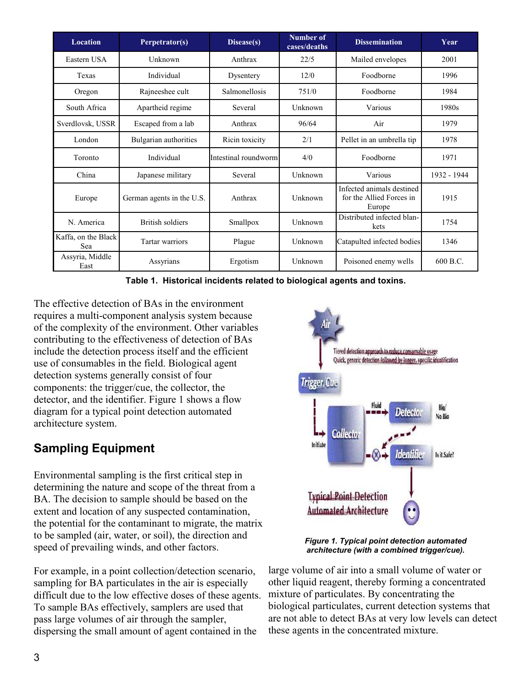| <b>Location</b>            | Perpetrator(s)            | Disease(s)           | Number of<br>cases/deaths | <b>Dissemination</b>                                            | Year        |
|----------------------------|---------------------------|----------------------|---------------------------|-----------------------------------------------------------------|-------------|
| Eastern USA                | Unknown                   | Anthrax              | 22/5                      | Mailed envelopes                                                | 2001        |
| Texas                      | Individual                | Dysentery            | 12/0                      | Foodborne                                                       | 1996        |
| Oregon                     | Rajneeshee cult           | Salmonellosis        | 751/0                     | Foodborne                                                       | 1984        |
| South Africa               | Apartheid regime          | Several              | Unknown                   | Various                                                         | 1980s       |
| Sverdlovsk, USSR           | Escaped from a lab        | Anthrax              | 96/64                     | Air                                                             | 1979        |
| London                     | Bulgarian authorities     | Ricin toxicity       | 2/1                       | Pellet in an umbrella tip                                       | 1978        |
| Toronto                    | Individual                | Intestinal roundworm | 4/0                       | Foodborne                                                       | 1971        |
| China                      | Japanese military         | Several              | Unknown                   | Various                                                         | 1932 - 1944 |
| Europe                     | German agents in the U.S. | Anthrax              | Unknown                   | Infected animals destined<br>for the Allied Forces in<br>Europe | 1915        |
| N. America                 | <b>British soldiers</b>   | Smallpox             | Unknown                   | Distributed infected blan-<br>kets                              | 1754        |
| Kaffa, on the Black<br>Sea | Tartar warriors           | Plague               | Unknown                   | Catapulted infected bodies                                      | 1346        |
| Assyria, Middle<br>East    | Assyrians                 | Ergotism             | Unknown                   | Poisoned enemy wells                                            | 600 B.C.    |

Table 1. Historical incidents related to biological agents and toxins.

The effective detection of BAs in the environment requires a multi-component analysis system because of the complexity of the environment. Other variables contributing to the effectiveness of detection of BAs include the detection process itself and the efficient use of consumables in the field. Biological agent detection systems generally consist of four components: the trigger/cue, the collector, the detector, and the identifier. Figure 1 shows a flow diagram for a typical point detection automated architecture system.

# Sampling Equipment

Environmental sampling is the first critical step in determining the nature and scope of the threat from a BA. The decision to sample should be based on the extent and location of any suspected contamination, the potential for the contaminant to migrate, the matrix to be sampled (air, water, or soil), the direction and speed of prevailing winds, and other factors.

For example, in a point collection/detection scenario, sampling for BA particulates in the air is especially difficult due to the low effective doses of these agents. To sample BAs effectively, samplers are used that pass large volumes of air through the sampler, dispersing the small amount of agent contained in the



Figure 1. Typical point detection automated architecture (with a combined trigger/cue).

large volume of air into a small volume of water or other liquid reagent, thereby forming a concentrated mixture of particulates. By concentrating the biological particulates, current detection systems that are not able to detect BAs at very low levels can detect these agents in the concentrated mixture.